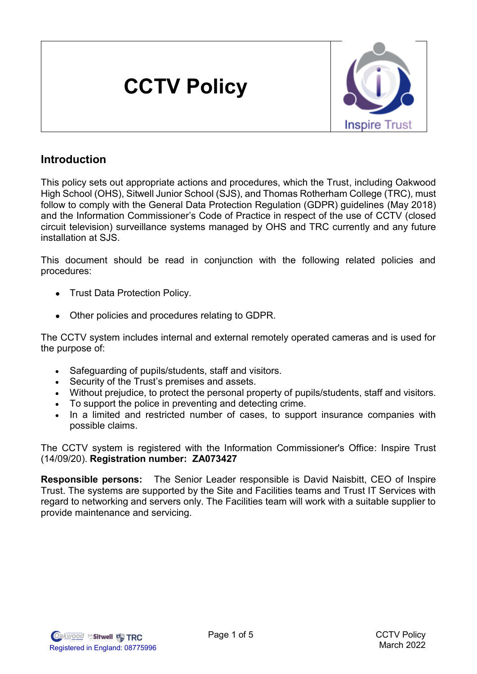# **CCTV Policy**



## **Introduction**

This policy sets out appropriate actions and procedures, which the Trust, including Oakwood High School (OHS), Sitwell Junior School (SJS), and Thomas Rotherham College (TRC), must follow to comply with the General Data Protection Regulation (GDPR) guidelines (May 2018) and the Information Commissioner's Code of Practice in respect of the use of CCTV (closed circuit television) surveillance systems managed by OHS and TRC currently and any future installation at SJS.

This document should be read in conjunction with the following related policies and procedures:

- Trust Data Protection Policy.
- Other policies and procedures relating to GDPR.

The CCTV system includes internal and external remotely operated cameras and is used for the purpose of:

- Safeguarding of pupils/students, staff and visitors.
- Security of the Trust's premises and assets.
- Without prejudice, to protect the personal property of pupils/students, staff and visitors.
- To support the police in preventing and detecting crime.
- In a limited and restricted number of cases, to support insurance companies with possible claims.

The CCTV system is registered with the Information Commissioner's Office: Inspire Trust (14/09/20). **Registration number: ZA073427** 

**Responsible persons:** The Senior Leader responsible is David Naisbitt, CEO of Inspire Trust. The systems are supported by the Site and Facilities teams and Trust IT Services with regard to networking and servers only. The Facilities team will work with a suitable supplier to provide maintenance and servicing.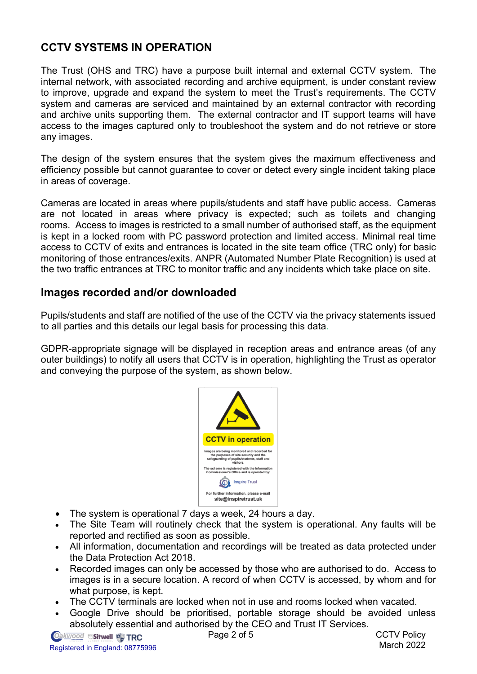## **CCTV SYSTEMS IN OPERATION**

The Trust (OHS and TRC) have a purpose built internal and external CCTV system. The internal network, with associated recording and archive equipment, is under constant review to improve, upgrade and expand the system to meet the Trust's requirements. The CCTV system and cameras are serviced and maintained by an external contractor with recording and archive units supporting them. The external contractor and IT support teams will have access to the images captured only to troubleshoot the system and do not retrieve or store any images.

The design of the system ensures that the system gives the maximum effectiveness and efficiency possible but cannot guarantee to cover or detect every single incident taking place in areas of coverage.

Cameras are located in areas where pupils/students and staff have public access. Cameras are not located in areas where privacy is expected; such as toilets and changing rooms. Access to images is restricted to a small number of authorised staff, as the equipment is kept in a locked room with PC password protection and limited access. Minimal real time access to CCTV of exits and entrances is located in the site team office (TRC only) for basic monitoring of those entrances/exits. ANPR (Automated Number Plate Recognition) is used at the two traffic entrances at TRC to monitor traffic and any incidents which take place on site.

### **Images recorded and/or downloaded**

Pupils/students and staff are notified of the use of the CCTV via the privacy statements issued to all parties and this details our legal basis for processing this data.

GDPR-appropriate signage will be displayed in reception areas and entrance areas (of any outer buildings) to notify all users that CCTV is in operation, highlighting the Trust as operator and conveying the purpose of the system, as shown below.



- The system is operational 7 days a week, 24 hours a day.
- The Site Team will routinely check that the system is operational. Any faults will be reported and rectified as soon as possible.
- All information, documentation and recordings will be treated as data protected under the Data Protection Act 2018.
- Recorded images can only be accessed by those who are authorised to do. Access to images is in a secure location. A record of when CCTV is accessed, by whom and for what purpose, is kept.
- The CCTV terminals are locked when not in use and rooms locked when vacated.
- Google Drive should be prioritised, portable storage should be avoided unless absolutely essential and authorised by the CEO and Trust IT Services.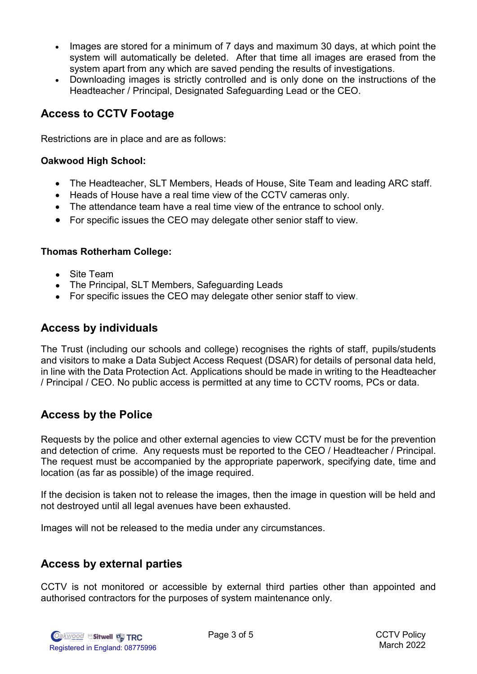- Images are stored for a minimum of 7 days and maximum 30 days, at which point the system will automatically be deleted. After that time all images are erased from the system apart from any which are saved pending the results of investigations.
- Downloading images is strictly controlled and is only done on the instructions of the Headteacher / Principal, Designated Safeguarding Lead or the CEO.

### **Access to CCTV Footage**

Restrictions are in place and are as follows:

#### **Oakwood High School:**

- The Headteacher, SLT Members, Heads of House, Site Team and leading ARC staff.
- Heads of House have a real time view of the CCTV cameras only.
- The attendance team have a real time view of the entrance to school only.
- For specific issues the CEO may delegate other senior staff to view.

#### **Thomas Rotherham College:**

- Site Team
- The Principal, SLT Members, Safeguarding Leads
- For specific issues the CEO may delegate other senior staff to view.

#### **Access by individuals**

The Trust (including our schools and college) recognises the rights of staff, pupils/students and visitors to make a Data Subject Access Request (DSAR) for details of personal data held, in line with the Data Protection Act. Applications should be made in writing to the Headteacher / Principal / CEO. No public access is permitted at any time to CCTV rooms, PCs or data.

#### **Access by the Police**

Requests by the police and other external agencies to view CCTV must be for the prevention and detection of crime. Any requests must be reported to the CEO / Headteacher / Principal. The request must be accompanied by the appropriate paperwork, specifying date, time and location (as far as possible) of the image required.

If the decision is taken not to release the images, then the image in question will be held and not destroyed until all legal avenues have been exhausted.

Images will not be released to the media under any circumstances.

#### **Access by external parties**

CCTV is not monitored or accessible by external third parties other than appointed and authorised contractors for the purposes of system maintenance only.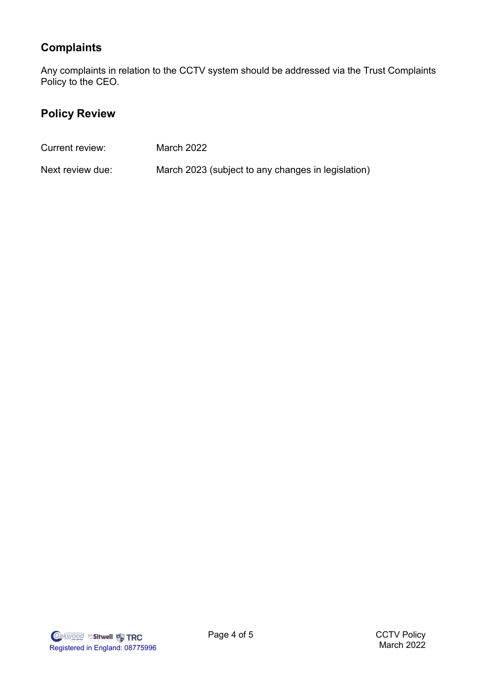## **Complaints**

Any complaints in relation to the CCTV system should be addressed via the Trust Complaints Policy to the CEO.

# **Policy Review**

| Current review:  | March 2022                                         |
|------------------|----------------------------------------------------|
| Next review due: | March 2023 (subject to any changes in legislation) |